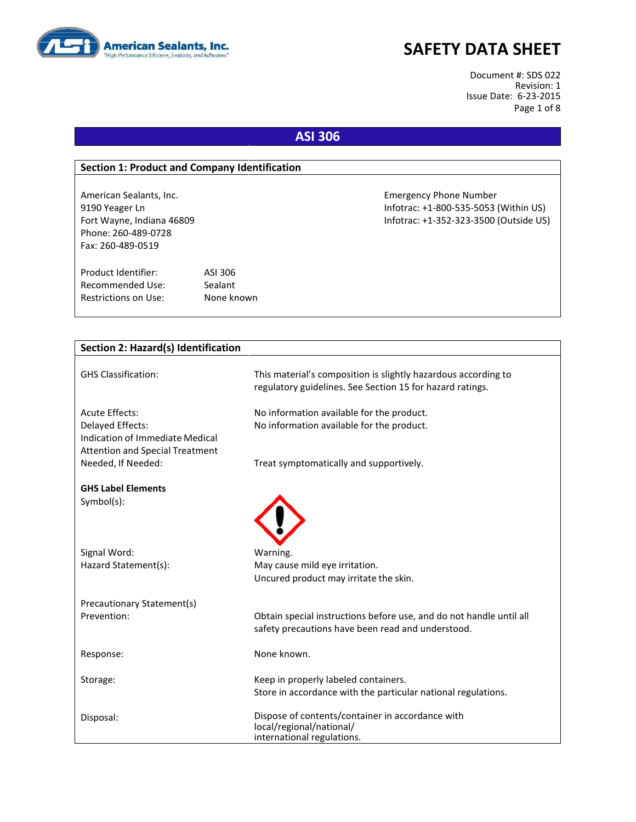

Document #: SDS 022 Revision: 1 Issue Date: 6-23-2015 Page 1 of 8

### **ASI 306**

#### **Section 1: Product and Company Identification**

Phone: 260-489-0728 Fax: 260-489-0519

Product Identifier: ASI 306 Recommended Use: Sealant Restrictions on Use: None known

American Sealants, Inc. Emergency Phone Number 9190 Yeager Ln Infotrac: +1-800-535-5053 (Within US) Fort Wayne, Indiana 46809 Infotrac: +1-352-323-3500 (Outside US)

| Section 2: Hazard(s) Identification                                                                                    |                                                                                                                             |
|------------------------------------------------------------------------------------------------------------------------|-----------------------------------------------------------------------------------------------------------------------------|
| <b>GHS Classification:</b>                                                                                             | This material's composition is slightly hazardous according to<br>regulatory guidelines. See Section 15 for hazard ratings. |
| <b>Acute Effects:</b><br>Delayed Effects:<br>Indication of Immediate Medical<br><b>Attention and Special Treatment</b> | No information available for the product.<br>No information available for the product.                                      |
| Needed, If Needed:                                                                                                     | Treat symptomatically and supportively.                                                                                     |
| <b>GHS Label Elements</b><br>Symbol(s):                                                                                |                                                                                                                             |
| Signal Word:                                                                                                           | Warning.                                                                                                                    |
| Hazard Statement(s):                                                                                                   | May cause mild eye irritation.<br>Uncured product may irritate the skin.                                                    |
| Precautionary Statement(s)                                                                                             |                                                                                                                             |
| Prevention:                                                                                                            | Obtain special instructions before use, and do not handle until all<br>safety precautions have been read and understood.    |
| Response:                                                                                                              | None known.                                                                                                                 |
| Storage:                                                                                                               | Keep in properly labeled containers.<br>Store in accordance with the particular national regulations.                       |
| Disposal:                                                                                                              | Dispose of contents/container in accordance with<br>local/regional/national/<br>international regulations.                  |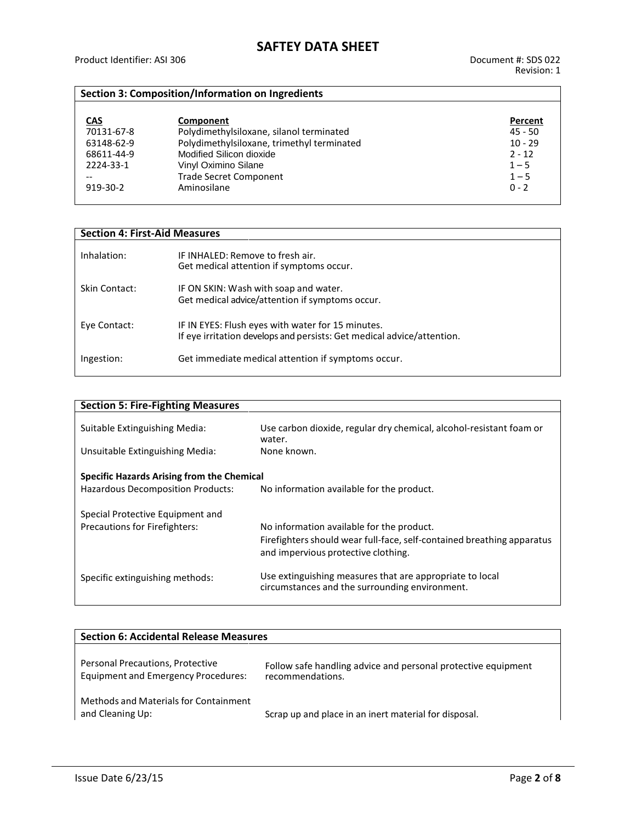### **Section 3: Composition/Information on Ingredients**

| <b>CAS</b>     | Component                                  | Percent   |
|----------------|--------------------------------------------|-----------|
| 70131-67-8     | Polydimethylsiloxane, silanol terminated   | $45 - 50$ |
| 63148-62-9     | Polydimethylsiloxane, trimethyl terminated | $10 - 29$ |
| 68611-44-9     | Modified Silicon dioxide                   | $2 - 12$  |
| 2224-33-1      | Vinyl Oximino Silane                       | $1 - 5$   |
|                | <b>Trade Secret Component</b>              | $1 - 5$   |
| $919 - 30 - 2$ | Aminosilane                                | $0 - 2$   |

### **Section 4: First-Aid Measures**

| Inhalation:   | IF INHALED: Remove to fresh air.<br>Get medical attention if symptoms occur.                                                |
|---------------|-----------------------------------------------------------------------------------------------------------------------------|
| Skin Contact: | IF ON SKIN: Wash with soap and water.<br>Get medical advice/attention if symptoms occur.                                    |
| Eye Contact:  | IF IN EYES: Flush eyes with water for 15 minutes.<br>If eye irritation develops and persists: Get medical advice/attention. |
| Ingestion:    | Get immediate medical attention if symptoms occur.                                                                          |

| <b>Section 5: Fire-Fighting Measures</b>                                      |  |  |
|-------------------------------------------------------------------------------|--|--|
| Use carbon dioxide, regular dry chemical, alcohol-resistant foam or<br>water. |  |  |
| None known.                                                                   |  |  |
|                                                                               |  |  |
| Specific Hazards Arising from the Chemical                                    |  |  |
| No information available for the product.                                     |  |  |
|                                                                               |  |  |
|                                                                               |  |  |
| No information available for the product.                                     |  |  |
| Firefighters should wear full-face, self-contained breathing apparatus        |  |  |
| and impervious protective clothing.                                           |  |  |
|                                                                               |  |  |
| Use extinguishing measures that are appropriate to local                      |  |  |
| circumstances and the surrounding environment.                                |  |  |
|                                                                               |  |  |

| <b>Section 6: Accidental Release Measures</b>                                  |                                                                                   |  |
|--------------------------------------------------------------------------------|-----------------------------------------------------------------------------------|--|
| Personal Precautions, Protective<br><b>Equipment and Emergency Procedures:</b> | Follow safe handling advice and personal protective equipment<br>recommendations. |  |
| Methods and Materials for Containment<br>and Cleaning Up:                      | Scrap up and place in an inert material for disposal.                             |  |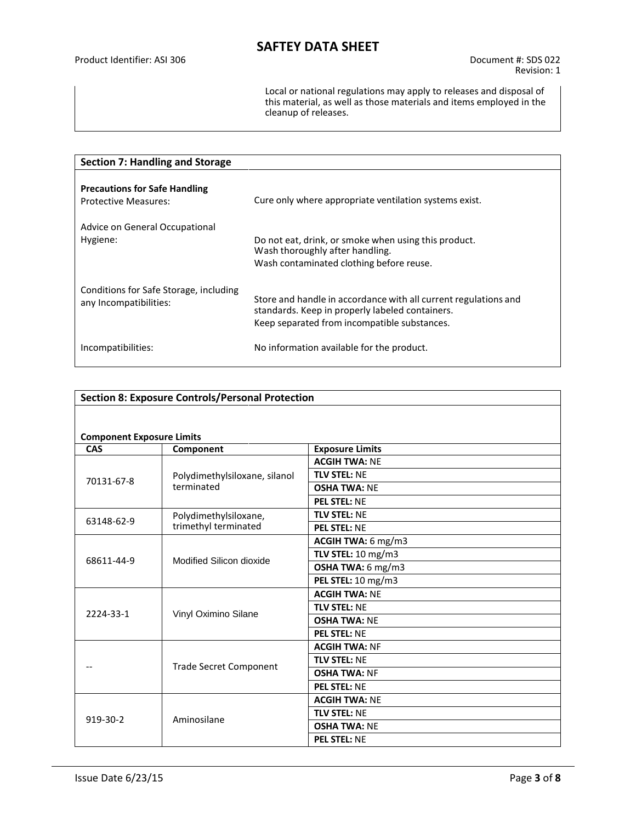Local or national regulations may apply to releases and disposal of this material, as well as those materials and items employed in the cleanup of releases.

| <b>Section 7: Handling and Storage</b>                              |                                                                                                                                                                    |  |
|---------------------------------------------------------------------|--------------------------------------------------------------------------------------------------------------------------------------------------------------------|--|
| <b>Precautions for Safe Handling</b><br><b>Protective Measures:</b> | Cure only where appropriate ventilation systems exist.                                                                                                             |  |
| Advice on General Occupational                                      |                                                                                                                                                                    |  |
| Hygiene:                                                            | Do not eat, drink, or smoke when using this product.<br>Wash thoroughly after handling.                                                                            |  |
|                                                                     | Wash contaminated clothing before reuse.                                                                                                                           |  |
| Conditions for Safe Storage, including<br>any Incompatibilities:    | Store and handle in accordance with all current regulations and<br>standards. Keep in properly labeled containers.<br>Keep separated from incompatible substances. |  |
| Incompatibilities:                                                  | No information available for the product.                                                                                                                          |  |

| <b>Section 8: Exposure Controls/Personal Protection</b> |                               |                        |
|---------------------------------------------------------|-------------------------------|------------------------|
|                                                         |                               |                        |
| <b>Component Exposure Limits</b>                        |                               |                        |
| CAS                                                     | Component                     | <b>Exposure Limits</b> |
|                                                         |                               | <b>ACGIH TWA: NE</b>   |
|                                                         | Polydimethylsiloxane, silanol | <b>TLV STEL: NE</b>    |
| 70131-67-8                                              | terminated                    | <b>OSHA TWA: NE</b>    |
|                                                         |                               | <b>PEL STEL: NE</b>    |
| 63148-62-9                                              | Polydimethylsiloxane,         | <b>TLV STEL: NE</b>    |
|                                                         | trimethyl terminated          | <b>PEL STEL: NE</b>    |
|                                                         |                               | ACGIH TWA: 6 mg/m3     |
| 68611-44-9                                              | Modified Silicon dioxide      | TLV STEL: 10 mg/m3     |
|                                                         |                               | OSHA TWA: 6 mg/m3      |
|                                                         |                               | PEL STEL: 10 mg/m3     |
|                                                         |                               | <b>ACGIH TWA: NE</b>   |
| 2224-33-1                                               | Vinyl Oximino Silane          | <b>TLV STEL: NE</b>    |
|                                                         |                               | <b>OSHA TWA: NE</b>    |
|                                                         |                               | <b>PEL STEL: NE</b>    |
|                                                         |                               | <b>ACGIH TWA: NF</b>   |
|                                                         | <b>Trade Secret Component</b> | <b>TLV STEL: NE</b>    |
|                                                         |                               | <b>OSHA TWA: NF</b>    |
|                                                         |                               | <b>PEL STEL: NE</b>    |
| 919-30-2                                                | Aminosilane                   | <b>ACGIH TWA: NE</b>   |
|                                                         |                               | <b>TLV STEL: NE</b>    |
|                                                         |                               | <b>OSHA TWA: NE</b>    |
|                                                         |                               | <b>PEL STEL: NE</b>    |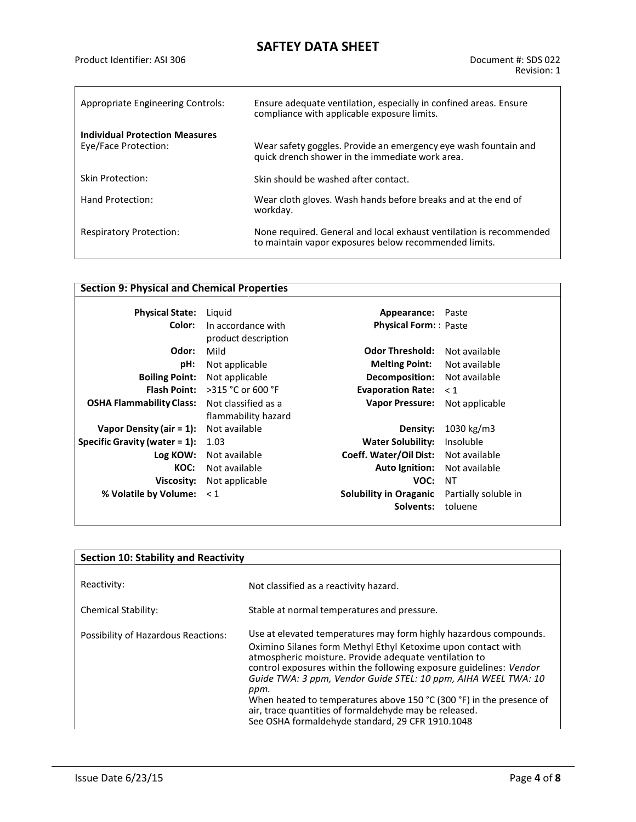| Appropriate Engineering Controls:                             | Ensure adequate ventilation, especially in confined areas. Ensure<br>compliance with applicable exposure limits.             |
|---------------------------------------------------------------|------------------------------------------------------------------------------------------------------------------------------|
| <b>Individual Protection Measures</b><br>Eye/Face Protection: | Wear safety goggles. Provide an emergency eye wash fountain and<br>quick drench shower in the immediate work area.           |
| <b>Skin Protection:</b>                                       | Skin should be washed after contact.                                                                                         |
| Hand Protection:                                              | Wear cloth gloves. Wash hands before breaks and at the end of<br>workday.                                                    |
| <b>Respiratory Protection:</b>                                | None required. General and local exhaust ventilation is recommended<br>to maintain vapor exposures below recommended limits. |

### **Section 9: Physical and Chemical Properties**

| <b>Physical State:</b>           | Liguid                                  | Appearance:                   | Paste                |
|----------------------------------|-----------------------------------------|-------------------------------|----------------------|
| Color:                           | In accordance with                      | <b>Physical Form:</b> Paste   |                      |
|                                  | product description                     |                               |                      |
| Odor:                            | Mild                                    | <b>Odor Threshold:</b>        | Not available        |
| pH:                              | Not applicable                          | <b>Melting Point:</b>         | Not available        |
| <b>Boiling Point:</b>            | Not applicable                          | Decomposition:                | Not available        |
|                                  | <b>Flash Point:</b> $>315$ °C or 600 °F | <b>Evaporation Rate:</b>      | $\leq 1$             |
| <b>OSHA Flammability Class:</b>  | Not classified as a                     | <b>Vapor Pressure:</b>        | Not applicable       |
|                                  | flammability hazard                     |                               |                      |
| Vapor Density (air = $1$ ):      | Not available                           | Density:                      | 1030 kg/m3           |
| Specific Gravity (water $= 1$ ): | 1.03                                    | <b>Water Solubility:</b>      | Insoluble            |
| Log KOW:                         | Not available                           | Coeff. Water/Oil Dist:        | Not available        |
| KOC:                             | Not available                           | <b>Auto Ignition:</b>         | Not available        |
| Viscosity:                       | Not applicable                          | VOC:                          | NT                   |
| % Volatile by Volume: < 1        |                                         | <b>Solubility in Oraganic</b> | Partially soluble in |
|                                  |                                         | Solvents:                     | toluene              |

| <b>Section 10: Stability and Reactivity</b> |                                                                                                                                                                                                                                                                                                                                                                                                                                                                                                                                       |  |
|---------------------------------------------|---------------------------------------------------------------------------------------------------------------------------------------------------------------------------------------------------------------------------------------------------------------------------------------------------------------------------------------------------------------------------------------------------------------------------------------------------------------------------------------------------------------------------------------|--|
|                                             |                                                                                                                                                                                                                                                                                                                                                                                                                                                                                                                                       |  |
| Reactivity:                                 | Not classified as a reactivity hazard.                                                                                                                                                                                                                                                                                                                                                                                                                                                                                                |  |
| <b>Chemical Stability:</b>                  | Stable at normal temperatures and pressure.                                                                                                                                                                                                                                                                                                                                                                                                                                                                                           |  |
| Possibility of Hazardous Reactions:         | Use at elevated temperatures may form highly hazardous compounds.<br>Oximino Silanes form Methyl Ethyl Ketoxime upon contact with<br>atmospheric moisture. Provide adequate ventilation to<br>control exposures within the following exposure guidelines: Vendor<br>Guide TWA: 3 ppm, Vendor Guide STEL: 10 ppm, AIHA WEEL TWA: 10<br>ppm.<br>When heated to temperatures above 150 $°C$ (300 $°F$ ) in the presence of<br>air, trace quantities of formaldehyde may be released.<br>See OSHA formaldehyde standard, 29 CFR 1910.1048 |  |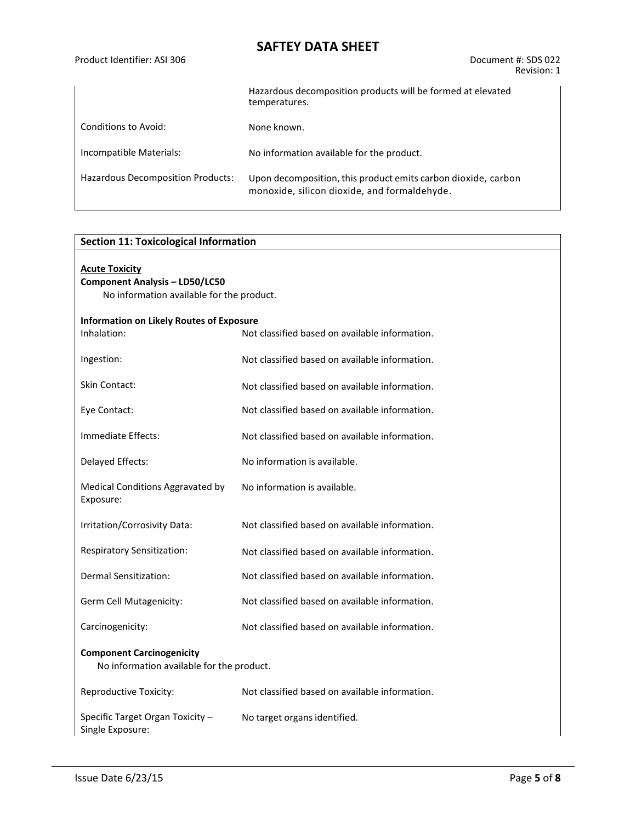| Product Identifier: ASI 306       | Document #: SDS 022<br>Revision: 1                                                                            |
|-----------------------------------|---------------------------------------------------------------------------------------------------------------|
|                                   | Hazardous decomposition products will be formed at elevated<br>temperatures.                                  |
| Conditions to Avoid:              | None known.                                                                                                   |
| Incompatible Materials:           | No information available for the product.                                                                     |
| Hazardous Decomposition Products: | Upon decomposition, this product emits carbon dioxide, carbon<br>monoxide, silicon dioxide, and formaldehyde. |

| <b>Section 11: Toxicological Information</b>                                                                |                                                |  |
|-------------------------------------------------------------------------------------------------------------|------------------------------------------------|--|
| <b>Acute Toxicity</b><br><b>Component Analysis - LD50/LC50</b><br>No information available for the product. |                                                |  |
| <b>Information on Likely Routes of Exposure</b>                                                             |                                                |  |
| Inhalation:                                                                                                 | Not classified based on available information. |  |
| Ingestion:                                                                                                  | Not classified based on available information. |  |
| Skin Contact:                                                                                               | Not classified based on available information. |  |
| Eye Contact:                                                                                                | Not classified based on available information. |  |
| Immediate Effects:                                                                                          | Not classified based on available information. |  |
| Delayed Effects:                                                                                            | No information is available.                   |  |
| Medical Conditions Aggravated by<br>Exposure:                                                               | No information is available.                   |  |
| Irritation/Corrosivity Data:                                                                                | Not classified based on available information. |  |
| Respiratory Sensitization:                                                                                  | Not classified based on available information. |  |
| Dermal Sensitization:                                                                                       | Not classified based on available information. |  |
| Germ Cell Mutagenicity:                                                                                     | Not classified based on available information. |  |
| Carcinogenicity:                                                                                            | Not classified based on available information. |  |
| <b>Component Carcinogenicity</b><br>No information available for the product.                               |                                                |  |
| Reproductive Toxicity:                                                                                      | Not classified based on available information. |  |
| Specific Target Organ Toxicity -<br>Single Exposure:                                                        | No target organs identified.                   |  |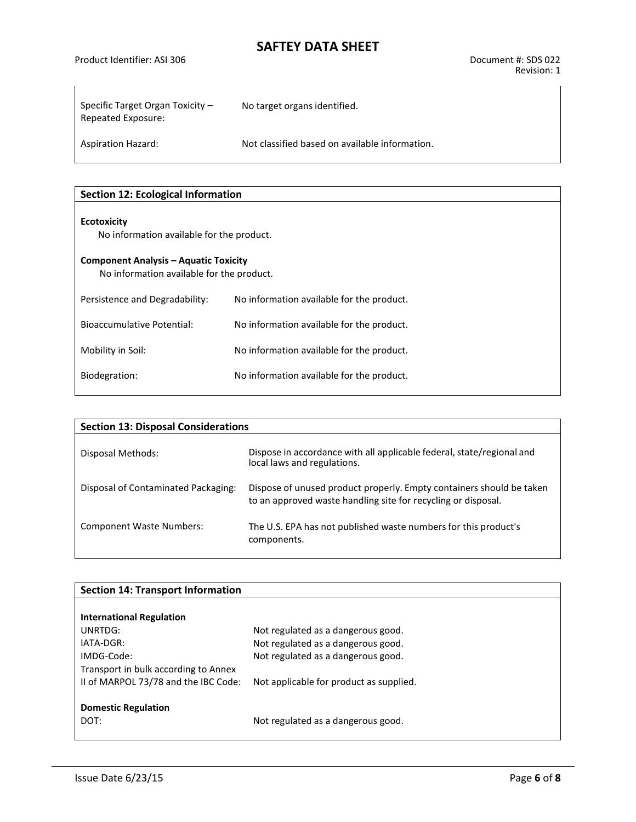Product Identifier: ASI 306 Document #: SDS 022

| Specific Target Organ Toxicity $-$<br>Repeated Exposure: | No target organs identified.                   |
|----------------------------------------------------------|------------------------------------------------|
| <b>Aspiration Hazard:</b>                                | Not classified based on available information. |

| <b>Section 12: Ecological Information</b>                                                 |                                           |  |
|-------------------------------------------------------------------------------------------|-------------------------------------------|--|
| <b>Ecotoxicity</b><br>No information available for the product.                           |                                           |  |
| <b>Component Analysis - Aquatic Toxicity</b><br>No information available for the product. |                                           |  |
| Persistence and Degradability:                                                            | No information available for the product. |  |
| Bioaccumulative Potential:                                                                | No information available for the product. |  |
| Mobility in Soil:                                                                         | No information available for the product. |  |
| Biodegration:                                                                             | No information available for the product. |  |

| <b>Section 13: Disposal Considerations</b> |                                                                                                                                       |  |
|--------------------------------------------|---------------------------------------------------------------------------------------------------------------------------------------|--|
| Disposal Methods:                          | Dispose in accordance with all applicable federal, state/regional and<br>local laws and regulations.                                  |  |
| Disposal of Contaminated Packaging:        | Dispose of unused product properly. Empty containers should be taken<br>to an approved waste handling site for recycling or disposal. |  |
| <b>Component Waste Numbers:</b>            | The U.S. EPA has not published waste numbers for this product's<br>components.                                                        |  |

| <b>Section 14: Transport Information</b> |                                         |  |
|------------------------------------------|-----------------------------------------|--|
|                                          |                                         |  |
| <b>International Regulation</b>          |                                         |  |
| UNRTDG:                                  | Not regulated as a dangerous good.      |  |
| $IATA-DGR:$                              | Not regulated as a dangerous good.      |  |
| IMDG-Code:                               | Not regulated as a dangerous good.      |  |
| Transport in bulk according to Annex     |                                         |  |
| II of MARPOL 73/78 and the IBC Code:     | Not applicable for product as supplied. |  |
|                                          |                                         |  |
| <b>Domestic Regulation</b>               |                                         |  |
| DOT:                                     | Not regulated as a dangerous good.      |  |
|                                          |                                         |  |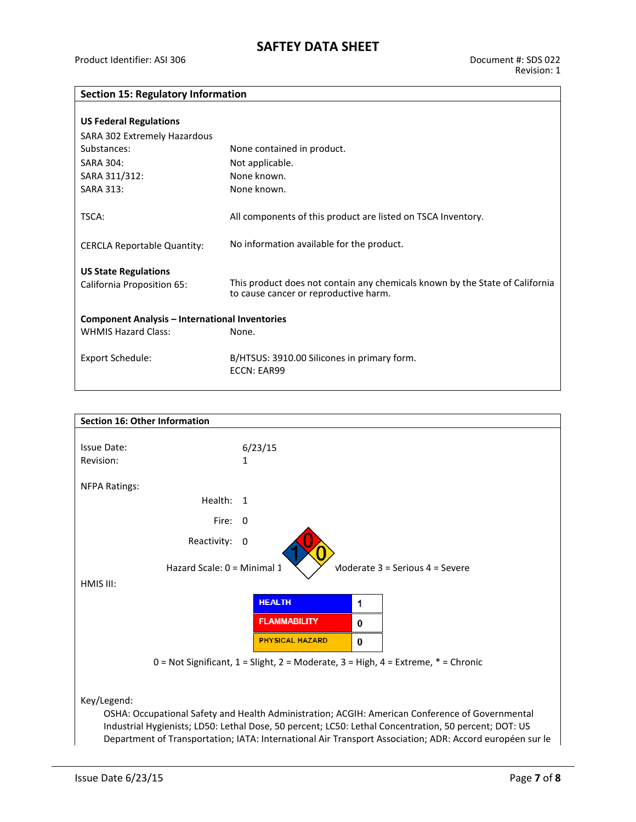#### **Section 15: Regulatory Information**

| <b>US Federal Regulations</b><br>SARA 302 Extremely Hazardous                                |                                                                                                                       |
|----------------------------------------------------------------------------------------------|-----------------------------------------------------------------------------------------------------------------------|
| Substances:                                                                                  | None contained in product.                                                                                            |
| <b>SARA 304:</b>                                                                             | Not applicable.                                                                                                       |
| SARA 311/312:                                                                                | None known.                                                                                                           |
| <b>SARA 313:</b>                                                                             | None known.                                                                                                           |
| TSCA:                                                                                        | All components of this product are listed on TSCA Inventory.                                                          |
| <b>CERCLA Reportable Quantity:</b>                                                           | No information available for the product.                                                                             |
| <b>US State Regulations</b><br>California Proposition 65:                                    | This product does not contain any chemicals known by the State of California<br>to cause cancer or reproductive harm. |
| <b>Component Analysis – International Inventories</b><br><b>WHMIS Hazard Class:</b><br>None. |                                                                                                                       |
| Export Schedule:                                                                             | B/HTSUS: 3910.00 Silicones in primary form.<br>ECCN: EAR99                                                            |